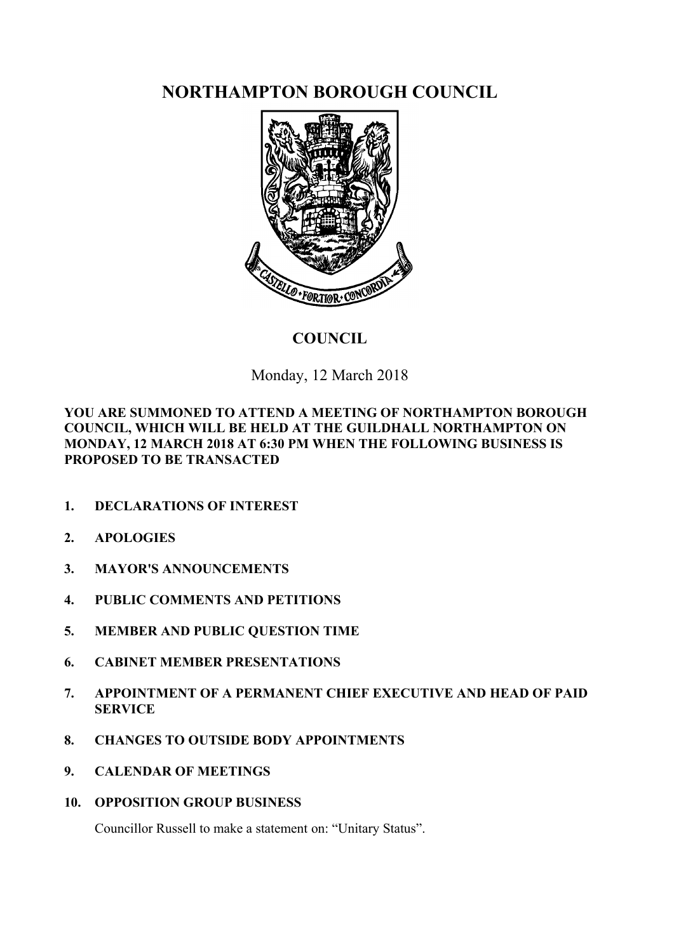**NORTHAMPTON BOROUGH COUNCIL**



# **COUNCIL**

Monday, 12 March 2018

**YOU ARE SUMMONED TO ATTEND A MEETING OF NORTHAMPTON BOROUGH COUNCIL, WHICH WILL BE HELD AT THE GUILDHALL NORTHAMPTON ON MONDAY, 12 MARCH 2018 AT 6:30 PM WHEN THE FOLLOWING BUSINESS IS PROPOSED TO BE TRANSACTED**

- **1. DECLARATIONS OF INTEREST**
- **2. APOLOGIES**
- **3. MAYOR'S ANNOUNCEMENTS**
- **4. PUBLIC COMMENTS AND PETITIONS**
- **5. MEMBER AND PUBLIC QUESTION TIME**
- **6. CABINET MEMBER PRESENTATIONS**
- **7. APPOINTMENT OF A PERMANENT CHIEF EXECUTIVE AND HEAD OF PAID SERVICE**
- **8. CHANGES TO OUTSIDE BODY APPOINTMENTS**
- **9. CALENDAR OF MEETINGS**
- **10. OPPOSITION GROUP BUSINESS**

Councillor Russell to make a statement on: "Unitary Status".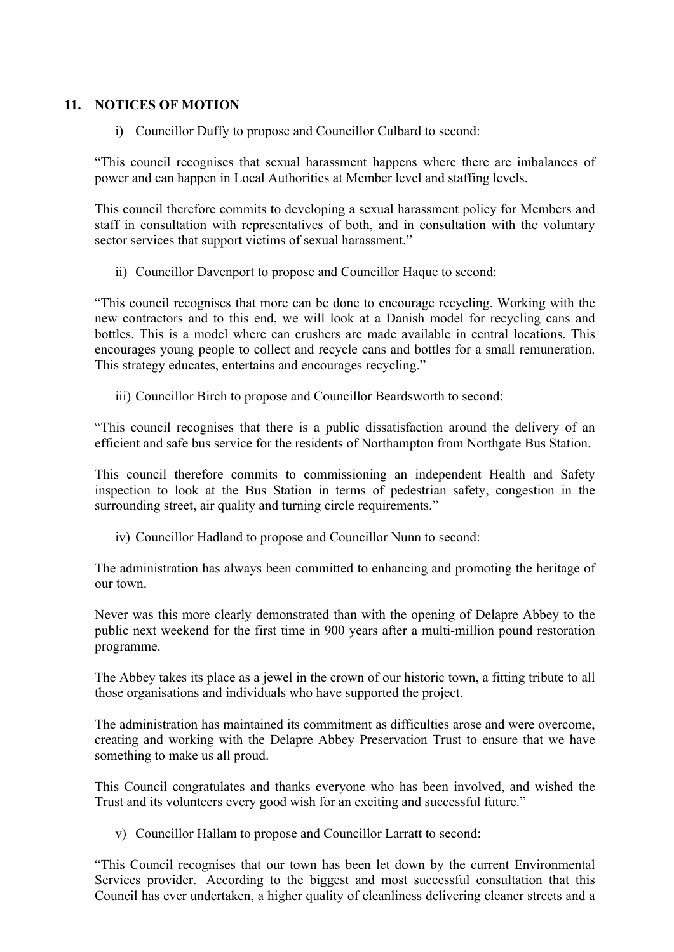#### **11. NOTICES OF MOTION**

i) Councillor Duffy to propose and Councillor Culbard to second:

"This council recognises that sexual harassment happens where there are imbalances of power and can happen in Local Authorities at Member level and staffing levels.

This council therefore commits to developing a sexual harassment policy for Members and staff in consultation with representatives of both, and in consultation with the voluntary sector services that support victims of sexual harassment."

ii) Councillor Davenport to propose and Councillor Haque to second:

"This council recognises that more can be done to encourage recycling. Working with the new contractors and to this end, we will look at a Danish model for recycling cans and bottles. This is a model where can crushers are made available in central locations. This encourages young people to collect and recycle cans and bottles for a small remuneration. This strategy educates, entertains and encourages recycling."

iii) Councillor Birch to propose and Councillor Beardsworth to second:

"This council recognises that there is a public dissatisfaction around the delivery of an efficient and safe bus service for the residents of Northampton from Northgate Bus Station.

This council therefore commits to commissioning an independent Health and Safety inspection to look at the Bus Station in terms of pedestrian safety, congestion in the surrounding street, air quality and turning circle requirements."

iv) Councillor Hadland to propose and Councillor Nunn to second:

The administration has always been committed to enhancing and promoting the heritage of our town.

Never was this more clearly demonstrated than with the opening of Delapre Abbey to the public next weekend for the first time in 900 years after a multi-million pound restoration programme.

The Abbey takes its place as a jewel in the crown of our historic town, a fitting tribute to all those organisations and individuals who have supported the project.

The administration has maintained its commitment as difficulties arose and were overcome, creating and working with the Delapre Abbey Preservation Trust to ensure that we have something to make us all proud.

This Council congratulates and thanks everyone who has been involved, and wished the Trust and its volunteers every good wish for an exciting and successful future."

v) Councillor Hallam to propose and Councillor Larratt to second:

"This Council recognises that our town has been let down by the current Environmental Services provider. According to the biggest and most successful consultation that this Council has ever undertaken, a higher quality of cleanliness delivering cleaner streets and a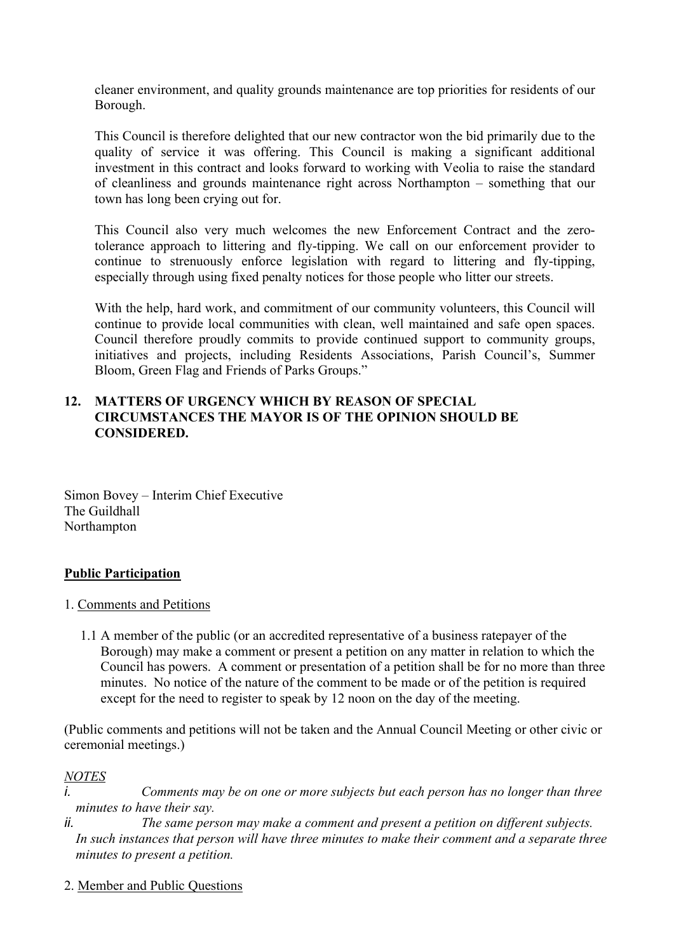cleaner environment, and quality grounds maintenance are top priorities for residents of our Borough.

This Council is therefore delighted that our new contractor won the bid primarily due to the quality of service it was offering. This Council is making a significant additional investment in this contract and looks forward to working with Veolia to raise the standard of cleanliness and grounds maintenance right across Northampton – something that our town has long been crying out for.

This Council also very much welcomes the new Enforcement Contract and the zerotolerance approach to littering and fly-tipping. We call on our enforcement provider to continue to strenuously enforce legislation with regard to littering and fly-tipping, especially through using fixed penalty notices for those people who litter our streets.

With the help, hard work, and commitment of our community volunteers, this Council will continue to provide local communities with clean, well maintained and safe open spaces. Council therefore proudly commits to provide continued support to community groups, initiatives and projects, including Residents Associations, Parish Council's, Summer Bloom, Green Flag and Friends of Parks Groups."

#### **12. MATTERS OF URGENCY WHICH BY REASON OF SPECIAL CIRCUMSTANCES THE MAYOR IS OF THE OPINION SHOULD BE CONSIDERED.**

Simon Bovey – Interim Chief Executive The Guildhall Northampton

#### **Public Participation**

- 1. Comments and Petitions
	- 1.1 A member of the public (or an accredited representative of a business ratepayer of the Borough) may make a comment or present a petition on any matter in relation to which the Council has powers. A comment or presentation of a petition shall be for no more than three minutes. No notice of the nature of the comment to be made or of the petition is required except for the need to register to speak by 12 noon on the day of the meeting.

(Public comments and petitions will not be taken and the Annual Council Meeting or other civic or ceremonial meetings.)

#### *NOTES*

*i. Comments may be on one or more subjects but each person has no longer than three minutes to have their say.*

*ii. The same person may make a comment and present a petition on different subjects. In such instances that person will have three minutes to make their comment and a separate three minutes to present a petition.*

2. Member and Public Questions